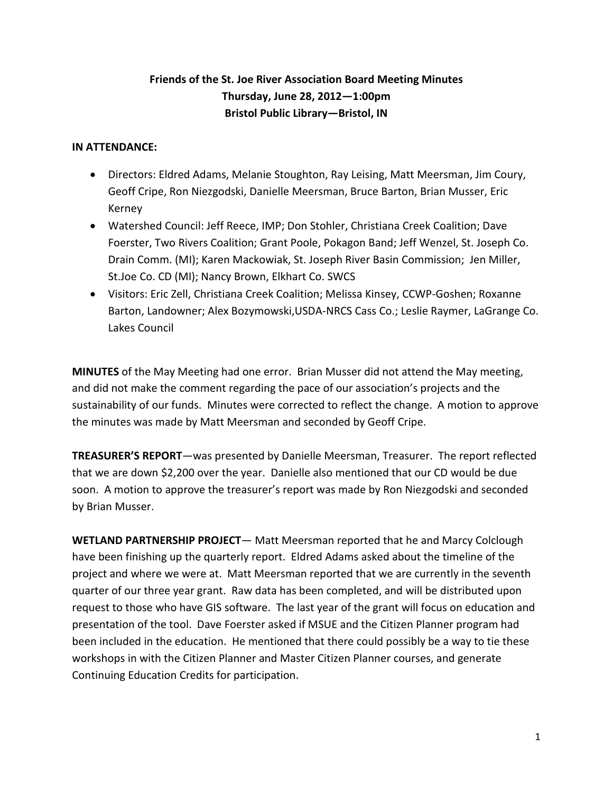## **Friends of the St. Joe River Association Board Meeting Minutes Thursday, June 28, 2012—1:00pm Bristol Public Library—Bristol, IN**

## **IN ATTENDANCE:**

- Directors: Eldred Adams, Melanie Stoughton, Ray Leising, Matt Meersman, Jim Coury, Geoff Cripe, Ron Niezgodski, Danielle Meersman, Bruce Barton, Brian Musser, Eric Kerney
- Watershed Council: Jeff Reece, IMP; Don Stohler, Christiana Creek Coalition; Dave Foerster, Two Rivers Coalition; Grant Poole, Pokagon Band; Jeff Wenzel, St. Joseph Co. Drain Comm. (MI); Karen Mackowiak, St. Joseph River Basin Commission; Jen Miller, St.Joe Co. CD (MI); Nancy Brown, Elkhart Co. SWCS
- Visitors: Eric Zell, Christiana Creek Coalition; Melissa Kinsey, CCWP-Goshen; Roxanne Barton, Landowner; Alex Bozymowski,USDA-NRCS Cass Co.; Leslie Raymer, LaGrange Co. Lakes Council

**MINUTES** of the May Meeting had one error. Brian Musser did not attend the May meeting, and did not make the comment regarding the pace of our association's projects and the sustainability of our funds. Minutes were corrected to reflect the change. A motion to approve the minutes was made by Matt Meersman and seconded by Geoff Cripe.

**TREASURER'S REPORT**—was presented by Danielle Meersman, Treasurer. The report reflected that we are down \$2,200 over the year. Danielle also mentioned that our CD would be due soon. A motion to approve the treasurer's report was made by Ron Niezgodski and seconded by Brian Musser.

**WETLAND PARTNERSHIP PROJECT**— Matt Meersman reported that he and Marcy Colclough have been finishing up the quarterly report. Eldred Adams asked about the timeline of the project and where we were at. Matt Meersman reported that we are currently in the seventh quarter of our three year grant. Raw data has been completed, and will be distributed upon request to those who have GIS software. The last year of the grant will focus on education and presentation of the tool. Dave Foerster asked if MSUE and the Citizen Planner program had been included in the education. He mentioned that there could possibly be a way to tie these workshops in with the Citizen Planner and Master Citizen Planner courses, and generate Continuing Education Credits for participation.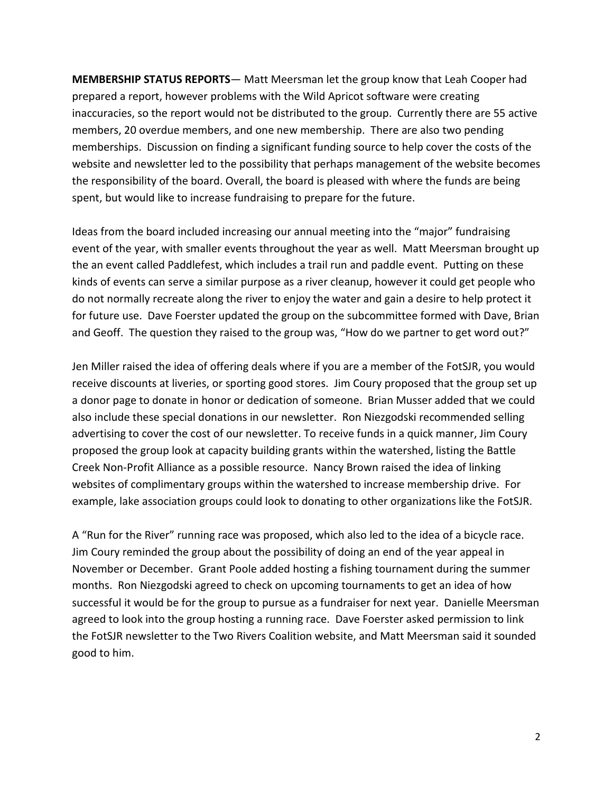**MEMBERSHIP STATUS REPORTS**— Matt Meersman let the group know that Leah Cooper had prepared a report, however problems with the Wild Apricot software were creating inaccuracies, so the report would not be distributed to the group. Currently there are 55 active members, 20 overdue members, and one new membership. There are also two pending memberships. Discussion on finding a significant funding source to help cover the costs of the website and newsletter led to the possibility that perhaps management of the website becomes the responsibility of the board. Overall, the board is pleased with where the funds are being spent, but would like to increase fundraising to prepare for the future.

Ideas from the board included increasing our annual meeting into the "major" fundraising event of the year, with smaller events throughout the year as well. Matt Meersman brought up the an event called Paddlefest, which includes a trail run and paddle event. Putting on these kinds of events can serve a similar purpose as a river cleanup, however it could get people who do not normally recreate along the river to enjoy the water and gain a desire to help protect it for future use. Dave Foerster updated the group on the subcommittee formed with Dave, Brian and Geoff. The question they raised to the group was, "How do we partner to get word out?"

Jen Miller raised the idea of offering deals where if you are a member of the FotSJR, you would receive discounts at liveries, or sporting good stores. Jim Coury proposed that the group set up a donor page to donate in honor or dedication of someone. Brian Musser added that we could also include these special donations in our newsletter. Ron Niezgodski recommended selling advertising to cover the cost of our newsletter. To receive funds in a quick manner, Jim Coury proposed the group look at capacity building grants within the watershed, listing the Battle Creek Non-Profit Alliance as a possible resource. Nancy Brown raised the idea of linking websites of complimentary groups within the watershed to increase membership drive. For example, lake association groups could look to donating to other organizations like the FotSJR.

A "Run for the River" running race was proposed, which also led to the idea of a bicycle race. Jim Coury reminded the group about the possibility of doing an end of the year appeal in November or December. Grant Poole added hosting a fishing tournament during the summer months. Ron Niezgodski agreed to check on upcoming tournaments to get an idea of how successful it would be for the group to pursue as a fundraiser for next year. Danielle Meersman agreed to look into the group hosting a running race. Dave Foerster asked permission to link the FotSJR newsletter to the Two Rivers Coalition website, and Matt Meersman said it sounded good to him.